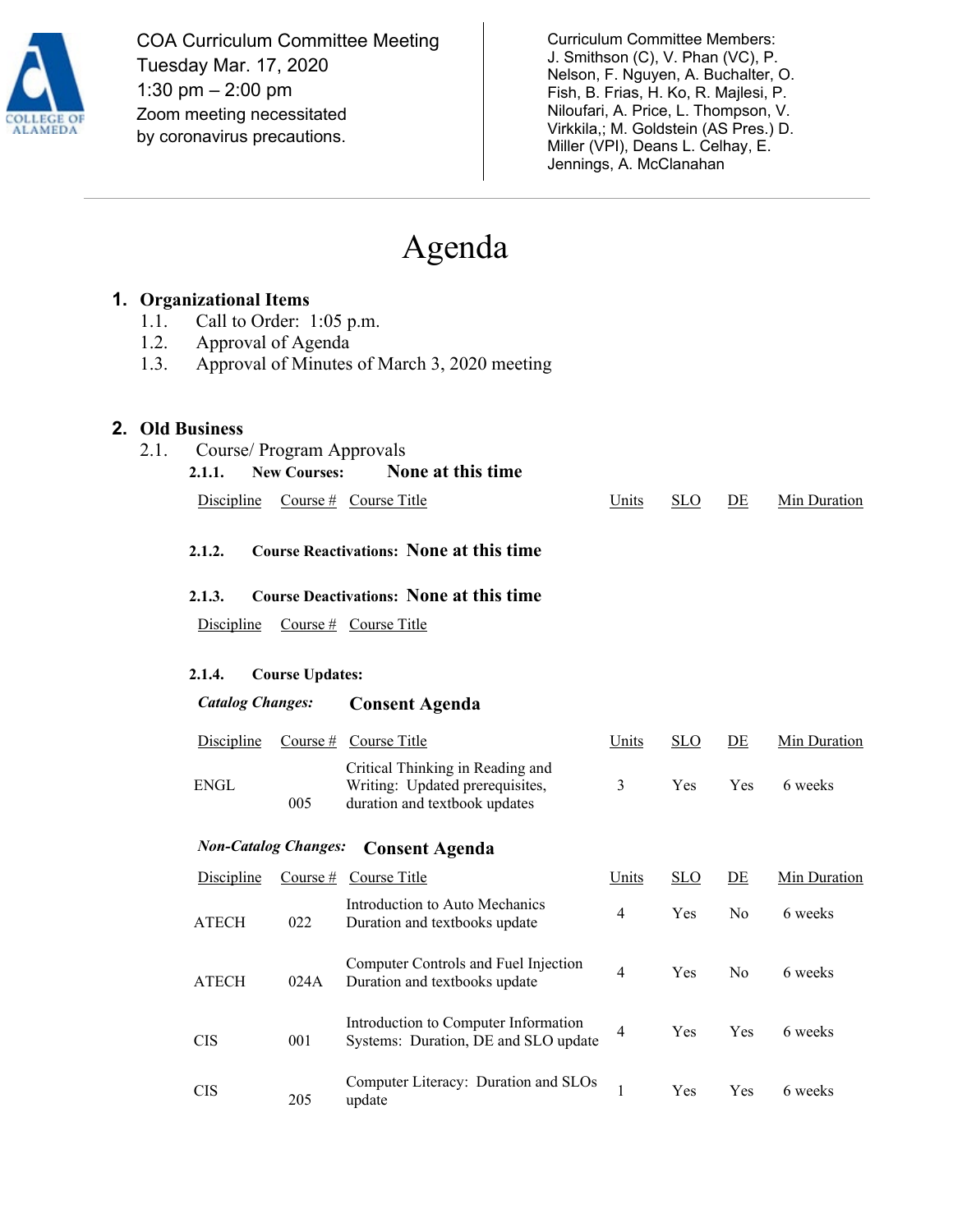

COA Curriculum Committee Meeting Tuesday Mar. 17, 2020 1:30 pm – 2:00 pm Zoom meeting necessitated by coronavirus precautions.

Curriculum Committee Members: J. Smithson (C), V. Phan (VC), P. Nelson, F. Nguyen, A. Buchalter, O. Fish, B. Frias, H. Ko, R. Majlesi, P. Niloufari, A. Price, L. Thompson, V. Virkkila,; M. Goldstein (AS Pres.) D. Miller (VPI), Deans L. Celhay, E. Jennings, A. McClanahan

# Agenda

|                                                      | <b>1. Organizational Items</b>                                 |                   |                        |                                                                                                      |                |            |                |              |  |
|------------------------------------------------------|----------------------------------------------------------------|-------------------|------------------------|------------------------------------------------------------------------------------------------------|----------------|------------|----------------|--------------|--|
|                                                      | Call to Order: 1:05 p.m.<br>1.1.<br>1.2.<br>Approval of Agenda |                   |                        |                                                                                                      |                |            |                |              |  |
|                                                      | 1.3.                                                           |                   |                        | Approval of Minutes of March 3, 2020 meeting                                                         |                |            |                |              |  |
|                                                      |                                                                |                   |                        |                                                                                                      |                |            |                |              |  |
| 2.                                                   |                                                                |                   |                        |                                                                                                      |                |            |                |              |  |
|                                                      | <b>Old Business</b><br>2.1.<br>Course/ Program Approvals       |                   |                        |                                                                                                      |                |            |                |              |  |
|                                                      |                                                                | 2.1.1.            | <b>New Courses:</b>    | None at this time                                                                                    |                |            |                |              |  |
|                                                      |                                                                | <b>Discipline</b> |                        | Course # Course Title                                                                                | Units          | <b>SLO</b> | DE             | Min Duration |  |
|                                                      |                                                                | 2.1.2.            |                        | <b>Course Reactivations: None at this time</b>                                                       |                |            |                |              |  |
|                                                      | <b>Course Deactivations: None at this time</b><br>2.1.3.       |                   |                        |                                                                                                      |                |            |                |              |  |
|                                                      |                                                                | <b>Discipline</b> |                        | Course $#$ Course Title                                                                              |                |            |                |              |  |
|                                                      |                                                                | 2.1.4.            | <b>Course Updates:</b> |                                                                                                      |                |            |                |              |  |
|                                                      | <b>Catalog Changes:</b>                                        |                   |                        | <b>Consent Agenda</b>                                                                                |                |            |                |              |  |
|                                                      |                                                                |                   |                        |                                                                                                      |                |            |                |              |  |
|                                                      |                                                                | <b>Discipline</b> |                        | Course $#$ Course Title                                                                              | Units          | <b>SLO</b> | DE             | Min Duration |  |
|                                                      |                                                                | <b>ENGL</b>       | 005                    | Critical Thinking in Reading and<br>Writing: Updated prerequisites,<br>duration and textbook updates | 3              | Yes        | Yes            | 6 weeks      |  |
| <b>Non-Catalog Changes:</b><br><b>Consent Agenda</b> |                                                                |                   |                        |                                                                                                      |                |            |                |              |  |
|                                                      |                                                                | Discipline        | Course $#$             | <b>Course Title</b>                                                                                  | Units          | <b>SLO</b> | DE             | Min Duration |  |
|                                                      |                                                                | <b>ATECH</b>      | 022                    | Introduction to Auto Mechanics<br>Duration and textbooks update                                      | $\overline{4}$ | Yes        | N <sub>0</sub> | 6 weeks      |  |
|                                                      |                                                                | <b>ATECH</b>      | 024A                   | Computer Controls and Fuel Injection<br>Duration and textbooks update                                | 4              | Yes        | No             | 6 weeks      |  |
|                                                      |                                                                | <b>CIS</b>        | 001                    | Introduction to Computer Information<br>Systems: Duration, DE and SLO update                         | $\overline{4}$ | Yes        | Yes            | 6 weeks      |  |
|                                                      |                                                                | <b>CIS</b>        | 205                    | Computer Literacy: Duration and SLOs<br>update                                                       | 1              | Yes        | Yes            | 6 weeks      |  |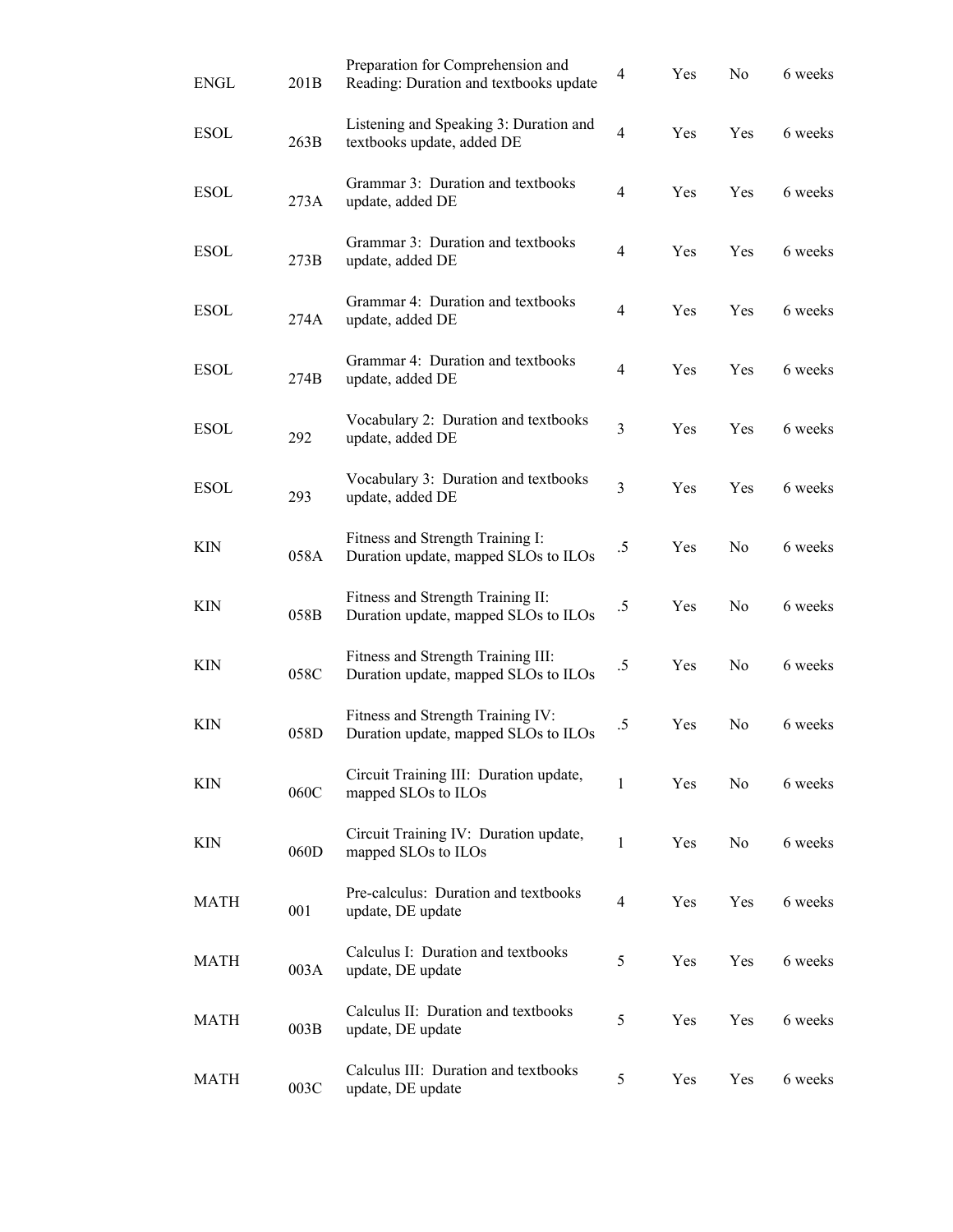| <b>ENGL</b> | 201B | Preparation for Comprehension and<br>Reading: Duration and textbooks update | $\overline{4}$ | Yes | No             | 6 weeks |
|-------------|------|-----------------------------------------------------------------------------|----------------|-----|----------------|---------|
| <b>ESOL</b> | 263B | Listening and Speaking 3: Duration and<br>textbooks update, added DE        | $\overline{4}$ | Yes | Yes            | 6 weeks |
| <b>ESOL</b> | 273A | Grammar 3: Duration and textbooks<br>update, added DE                       | $\overline{4}$ | Yes | Yes            | 6 weeks |
| <b>ESOL</b> | 273B | Grammar 3: Duration and textbooks<br>update, added DE                       | $\overline{4}$ | Yes | Yes            | 6 weeks |
| <b>ESOL</b> | 274A | Grammar 4: Duration and textbooks<br>update, added DE                       | $\overline{4}$ | Yes | Yes            | 6 weeks |
| <b>ESOL</b> | 274B | Grammar 4: Duration and textbooks<br>update, added DE                       | $\overline{4}$ | Yes | Yes            | 6 weeks |
| <b>ESOL</b> | 292  | Vocabulary 2: Duration and textbooks<br>update, added DE                    | 3              | Yes | Yes            | 6 weeks |
| <b>ESOL</b> | 293  | Vocabulary 3: Duration and textbooks<br>update, added DE                    | $\overline{3}$ | Yes | Yes            | 6 weeks |
| <b>KIN</b>  | 058A | Fitness and Strength Training I:<br>Duration update, mapped SLOs to ILOs    | $.5\,$         | Yes | No             | 6 weeks |
| <b>KIN</b>  | 058B | Fitness and Strength Training II:<br>Duration update, mapped SLOs to ILOs   | .5             | Yes | No             | 6 weeks |
| <b>KIN</b>  | 058C | Fitness and Strength Training III:<br>Duration update, mapped SLOs to ILOs  | .5             | Yes | No             | 6 weeks |
| <b>KIN</b>  | 058D | Fitness and Strength Training IV:<br>Duration update, mapped SLOs to ILOs   | $.5\,$         | Yes | No             | 6 weeks |
| <b>KIN</b>  | 060C | Circuit Training III: Duration update,<br>mapped SLOs to ILOs               | 1              | Yes | N <sub>o</sub> | 6 weeks |
| <b>KIN</b>  | 060D | Circuit Training IV: Duration update,<br>mapped SLOs to ILOs                | $\mathbf{1}$   | Yes | No             | 6 weeks |
| <b>MATH</b> | 001  | Pre-calculus: Duration and textbooks<br>update, DE update                   | $\overline{4}$ | Yes | Yes            | 6 weeks |
| MATH        | 003A | Calculus I: Duration and textbooks<br>update, DE update                     | 5              | Yes | Yes            | 6 weeks |
| MATH        | 003B | Calculus II: Duration and textbooks<br>update, DE update                    | 5              | Yes | Yes            | 6 weeks |
| MATH        | 003C | Calculus III: Duration and textbooks<br>update, DE update                   | 5              | Yes | Yes            | 6 weeks |